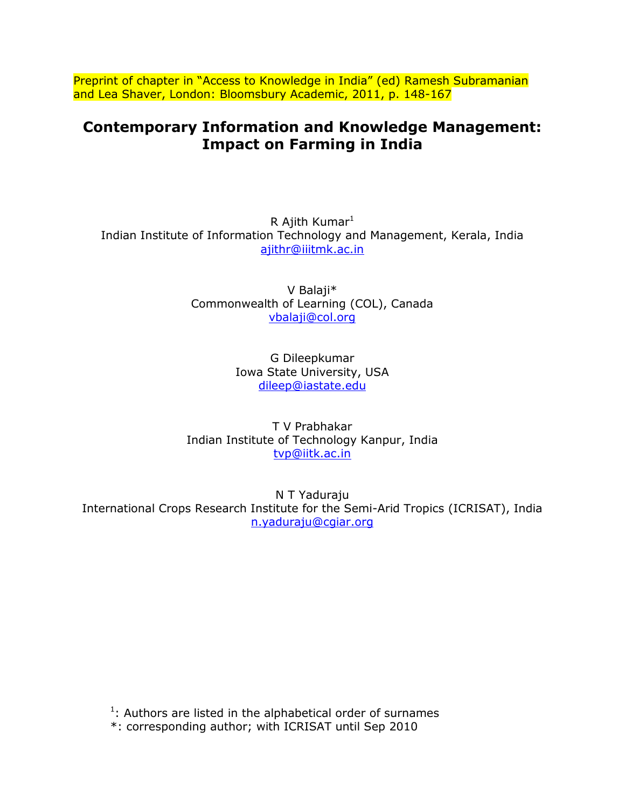Preprint of chapter in "Access to Knowledge in India" (ed) Ramesh Subramanian and Lea Shaver, London: Bloomsbury Academic, 2011, p. 148-167

# **Contemporary Information and Knowledge Management: Impact on Farming in India**

R Ajith Kumar $<sup>1</sup>$ </sup> Indian Institute of Information Technology and Management, Kerala, India [ajithr@iiitmk.ac.in](mailto:ajithr@iiitmk.ac.in) 

> V Balaji\* Commonwealth of Learning (COL), Canada [vbalaji@col.org](mailto:vbalaji@col.org)

> > G Dileepkumar Iowa State University, USA [dileep@iastate.edu](mailto:dileep@iastate.edu)

T V Prabhakar Indian Institute of Technology Kanpur, India [tvp@iitk.ac.in](mailto:tvp@iitk.ac.in)

N T Yaduraju International Crops Research Institute for the Semi-Arid Tropics (ICRISAT), India [n.yaduraju@cgiar.org](mailto:n.yaduraju@cgiar.org)

 $1$ : Authors are listed in the alphabetical order of surnames

\*: corresponding author; with ICRISAT until Sep 2010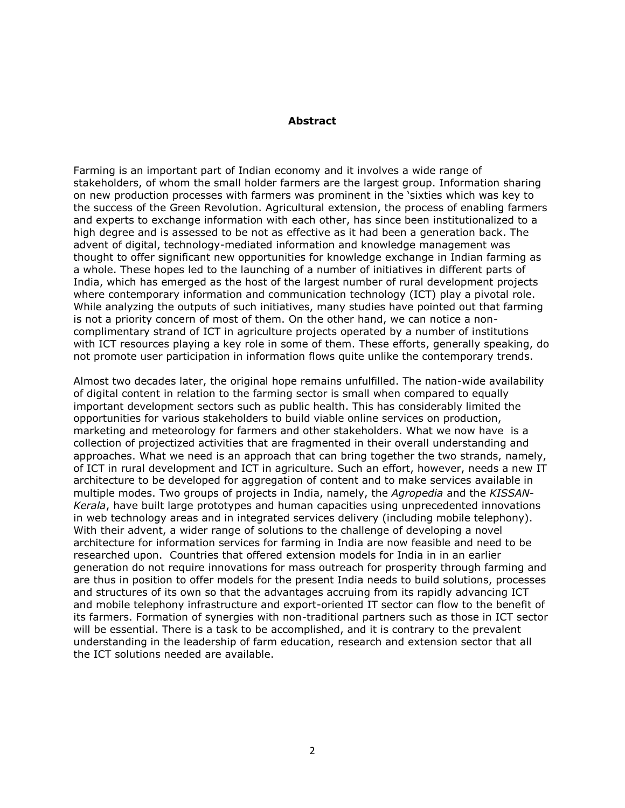#### **Abstract**

Farming is an important part of Indian economy and it involves a wide range of stakeholders, of whom the small holder farmers are the largest group. Information sharing on new production processes with farmers was prominent in the 'sixties which was key to the success of the Green Revolution. Agricultural extension, the process of enabling farmers and experts to exchange information with each other, has since been institutionalized to a high degree and is assessed to be not as effective as it had been a generation back. The advent of digital, technology-mediated information and knowledge management was thought to offer significant new opportunities for knowledge exchange in Indian farming as a whole. These hopes led to the launching of a number of initiatives in different parts of India, which has emerged as the host of the largest number of rural development projects where contemporary information and communication technology (ICT) play a pivotal role. While analyzing the outputs of such initiatives, many studies have pointed out that farming is not a priority concern of most of them. On the other hand, we can notice a noncomplimentary strand of ICT in agriculture projects operated by a number of institutions with ICT resources playing a key role in some of them. These efforts, generally speaking, do not promote user participation in information flows quite unlike the contemporary trends.

Almost two decades later, the original hope remains unfulfilled. The nation-wide availability of digital content in relation to the farming sector is small when compared to equally important development sectors such as public health. This has considerably limited the opportunities for various stakeholders to build viable online services on production, marketing and meteorology for farmers and other stakeholders. What we now have is a collection of projectized activities that are fragmented in their overall understanding and approaches. What we need is an approach that can bring together the two strands, namely, of ICT in rural development and ICT in agriculture. Such an effort, however, needs a new IT architecture to be developed for aggregation of content and to make services available in multiple modes. Two groups of projects in India, namely, the *Agropedia* and the *KISSAN-Kerala*, have built large prototypes and human capacities using unprecedented innovations in web technology areas and in integrated services delivery (including mobile telephony). With their advent, a wider range of solutions to the challenge of developing a novel architecture for information services for farming in India are now feasible and need to be researched upon. Countries that offered extension models for India in in an earlier generation do not require innovations for mass outreach for prosperity through farming and are thus in position to offer models for the present India needs to build solutions, processes and structures of its own so that the advantages accruing from its rapidly advancing ICT and mobile telephony infrastructure and export-oriented IT sector can flow to the benefit of its farmers. Formation of synergies with non-traditional partners such as those in ICT sector will be essential. There is a task to be accomplished, and it is contrary to the prevalent understanding in the leadership of farm education, research and extension sector that all the ICT solutions needed are available.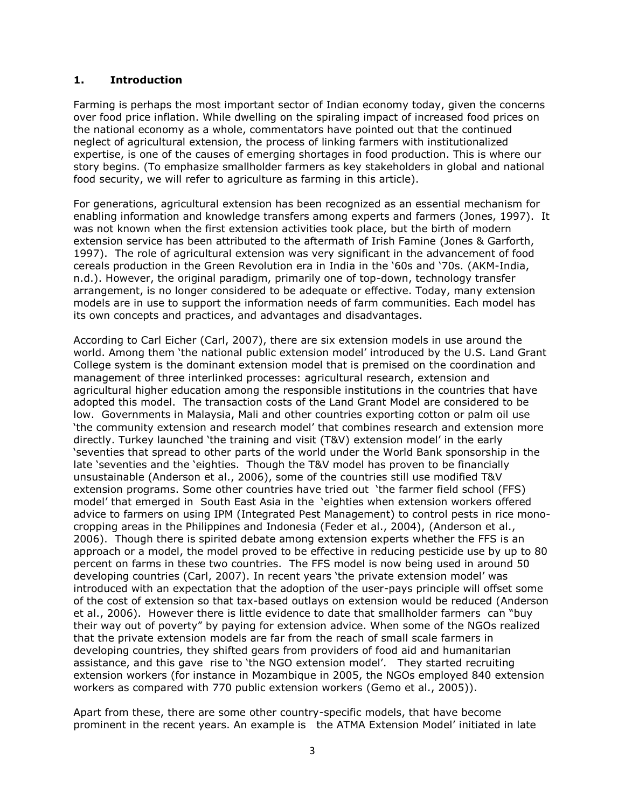#### **1. Introduction**

Farming is perhaps the most important sector of Indian economy today, given the concerns over food price inflation. While dwelling on the spiraling impact of increased food prices on the national economy as a whole, commentators have pointed out that the continued neglect of agricultural extension, the process of linking farmers with institutionalized expertise, is one of the causes of emerging shortages in food production. This is where our story begins. (To emphasize smallholder farmers as key stakeholders in global and national food security, we will refer to agriculture as farming in this article).

For generations, agricultural extension has been recognized as an essential mechanism for enabling information and knowledge transfers among experts and farmers (Jones, 1997). It was not known when the first extension activities took place, but the birth of modern extension service has been attributed to the aftermath of Irish Famine (Jones & Garforth, 1997). The role of agricultural extension was very significant in the advancement of food cereals production in the Green Revolution era in India in the '60s and '70s. (AKM-India, n.d.). However, the original paradigm, primarily one of top-down, technology transfer arrangement, is no longer considered to be adequate or effective. Today, many extension models are in use to support the information needs of farm communities. Each model has its own concepts and practices, and advantages and disadvantages.

According to Carl Eicher (Carl, 2007), there are six extension models in use around the world. Among them 'the national public extension model' introduced by the U.S. Land Grant College system is the dominant extension model that is premised on the coordination and management of three interlinked processes: agricultural research, extension and agricultural higher education among the responsible institutions in the countries that have adopted this model. The transaction costs of the Land Grant Model are considered to be low. Governments in Malaysia, Mali and other countries exporting cotton or palm oil use 'the community extension and research model' that combines research and extension more directly. Turkey launched 'the training and visit (T&V) extension model' in the early 'seventies that spread to other parts of the world under the World Bank sponsorship in the late 'seventies and the 'eighties. Though the T&V model has proven to be financially unsustainable (Anderson et al., 2006), some of the countries still use modified T&V extension programs. Some other countries have tried out 'the farmer field school (FFS) model' that emerged in South East Asia in the 'eighties when extension workers offered advice to farmers on using IPM (Integrated Pest Management) to control pests in rice monocropping areas in the Philippines and Indonesia (Feder et al., 2004), (Anderson et al., 2006). Though there is spirited debate among extension experts whether the FFS is an approach or a model, the model proved to be effective in reducing pesticide use by up to 80 percent on farms in these two countries. The FFS model is now being used in around 50 developing countries (Carl, 2007). In recent years 'the private extension model' was introduced with an expectation that the adoption of the user-pays principle will offset some of the cost of extension so that tax-based outlays on extension would be reduced (Anderson et al., 2006). However there is little evidence to date that smallholder farmers can "buy their way out of poverty" by paying for extension advice. When some of the NGOs realized that the private extension models are far from the reach of small scale farmers in developing countries, they shifted gears from providers of food aid and humanitarian assistance, and this gave rise to 'the NGO extension model'. They started recruiting extension workers (for instance in Mozambique in 2005, the NGOs employed 840 extension workers as compared with 770 public extension workers (Gemo et al., 2005)).

Apart from these, there are some other country-specific models, that have become prominent in the recent years. An example is the ATMA Extension Model' initiated in late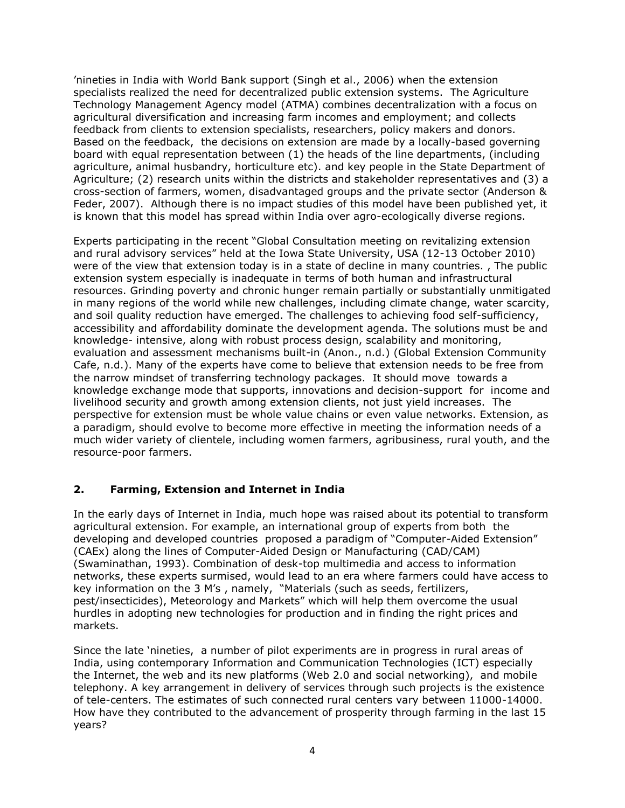'nineties in India with World Bank support (Singh et al., 2006) when the extension specialists realized the need for decentralized public extension systems. The Agriculture Technology Management Agency model (ATMA) combines decentralization with a focus on agricultural diversification and increasing farm incomes and employment; and collects feedback from clients to extension specialists, researchers, policy makers and donors. Based on the feedback, the decisions on extension are made by a locally-based governing board with equal representation between (1) the heads of the line departments, (including agriculture, animal husbandry, horticulture etc). and key people in the State Department of Agriculture; (2) research units within the districts and stakeholder representatives and (3) a cross-section of farmers, women, disadvantaged groups and the private sector (Anderson & Feder, 2007). Although there is no impact studies of this model have been published yet, it is known that this model has spread within India over agro-ecologically diverse regions.

Experts participating in the recent "Global Consultation meeting on revitalizing extension and rural advisory services" held at the Iowa State University, USA (12-13 October 2010) were of the view that extension today is in a state of decline in many countries. , The public extension system especially is inadequate in terms of both human and infrastructural resources. Grinding poverty and chronic hunger remain partially or substantially unmitigated in many regions of the world while new challenges, including climate change, water scarcity, and soil quality reduction have emerged. The challenges to achieving food self-sufficiency, accessibility and affordability dominate the development agenda. The solutions must be and knowledge- intensive, along with robust process design, scalability and monitoring, evaluation and assessment mechanisms built-in (Anon., n.d.) (Global Extension Community Cafe, n.d.). Many of the experts have come to believe that extension needs to be free from the narrow mindset of transferring technology packages. It should move towards a knowledge exchange mode that supports, innovations and decision-support for income and livelihood security and growth among extension clients, not just yield increases. The perspective for extension must be whole value chains or even value networks. Extension, as a paradigm, should evolve to become more effective in meeting the information needs of a much wider variety of clientele, including women farmers, agribusiness, rural youth, and the resource-poor farmers.

## **2. Farming, Extension and Internet in India**

In the early days of Internet in India, much hope was raised about its potential to transform agricultural extension. For example, an international group of experts from both the developing and developed countries proposed a paradigm of "Computer-Aided Extension" (CAEx) along the lines of Computer-Aided Design or Manufacturing (CAD/CAM) (Swaminathan, 1993). Combination of desk-top multimedia and access to information networks, these experts surmised, would lead to an era where farmers could have access to key information on the 3 M's , namely, "Materials (such as seeds, fertilizers, pest/insecticides), Meteorology and Markets" which will help them overcome the usual hurdles in adopting new technologies for production and in finding the right prices and markets.

Since the late 'nineties, a number of pilot experiments are in progress in rural areas of India, using contemporary Information and Communication Technologies (ICT) especially the Internet, the web and its new platforms (Web 2.0 and social networking), and mobile telephony. A key arrangement in delivery of services through such projects is the existence of tele-centers. The estimates of such connected rural centers vary between 11000-14000. How have they contributed to the advancement of prosperity through farming in the last 15 years?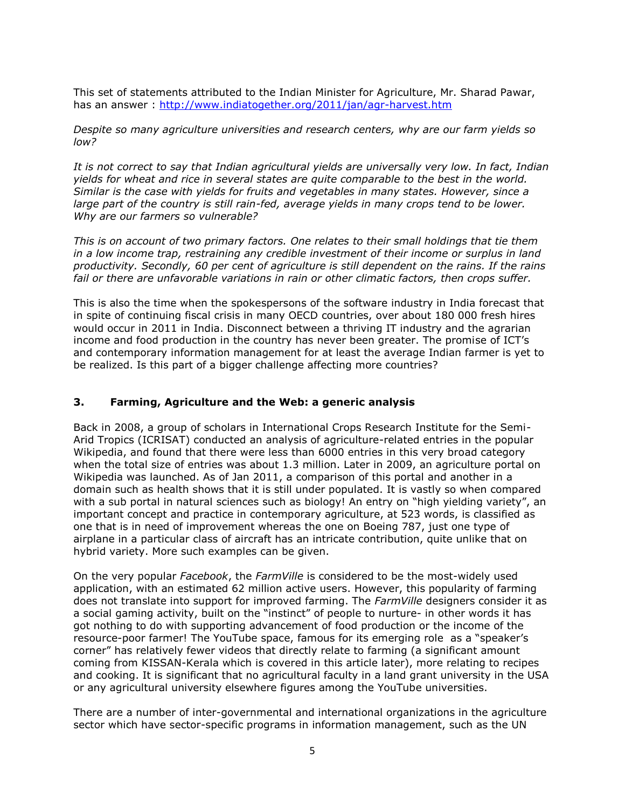This set of statements attributed to the Indian Minister for Agriculture, Mr. Sharad Pawar, has an answer :<http://www.indiatogether.org/2011/jan/agr-harvest.htm>

*Despite so many agriculture universities and research centers, why are our farm yields so low?*

*It is not correct to say that Indian agricultural yields are universally very low. In fact, Indian yields for wheat and rice in several states are quite comparable to the best in the world. Similar is the case with yields for fruits and vegetables in many states. However, since a large part of the country is still rain-fed, average yields in many crops tend to be lower. Why are our farmers so vulnerable?*

*This is on account of two primary factors. One relates to their small holdings that tie them in a low income trap, restraining any credible investment of their income or surplus in land productivity. Secondly, 60 per cent of agriculture is still dependent on the rains. If the rains fail or there are unfavorable variations in rain or other climatic factors, then crops suffer.*

This is also the time when the spokespersons of the software industry in India forecast that in spite of continuing fiscal crisis in many OECD countries, over about 180 000 fresh hires would occur in 2011 in India. Disconnect between a thriving IT industry and the agrarian income and food production in the country has never been greater. The promise of ICT's and contemporary information management for at least the average Indian farmer is yet to be realized. Is this part of a bigger challenge affecting more countries?

#### **3. Farming, Agriculture and the Web: a generic analysis**

Back in 2008, a group of scholars in International Crops Research Institute for the Semi-Arid Tropics (ICRISAT) conducted an analysis of agriculture-related entries in the popular Wikipedia, and found that there were less than 6000 entries in this very broad category when the total size of entries was about 1.3 million. Later in 2009, an agriculture portal on Wikipedia was launched. As of Jan 2011, a comparison of this portal and another in a domain such as health shows that it is still under populated. It is vastly so when compared with a sub portal in natural sciences such as biology! An entry on "high yielding variety", an important concept and practice in contemporary agriculture, at 523 words, is classified as one that is in need of improvement whereas the one on Boeing 787, just one type of airplane in a particular class of aircraft has an intricate contribution, quite unlike that on hybrid variety. More such examples can be given.

On the very popular *Facebook*, the *FarmVille* is considered to be the most-widely used application, with an estimated 62 million active users. However, this popularity of farming does not translate into support for improved farming. The *FarmVille* designers consider it as a social gaming activity, built on the "instinct" of people to nurture- in other words it has got nothing to do with supporting advancement of food production or the income of the resource-poor farmer! The YouTube space, famous for its emerging role as a "speaker's corner" has relatively fewer videos that directly relate to farming (a significant amount coming from KISSAN-Kerala which is covered in this article later), more relating to recipes and cooking. It is significant that no agricultural faculty in a land grant university in the USA or any agricultural university elsewhere figures among the YouTube universities.

There are a number of inter-governmental and international organizations in the agriculture sector which have sector-specific programs in information management, such as the UN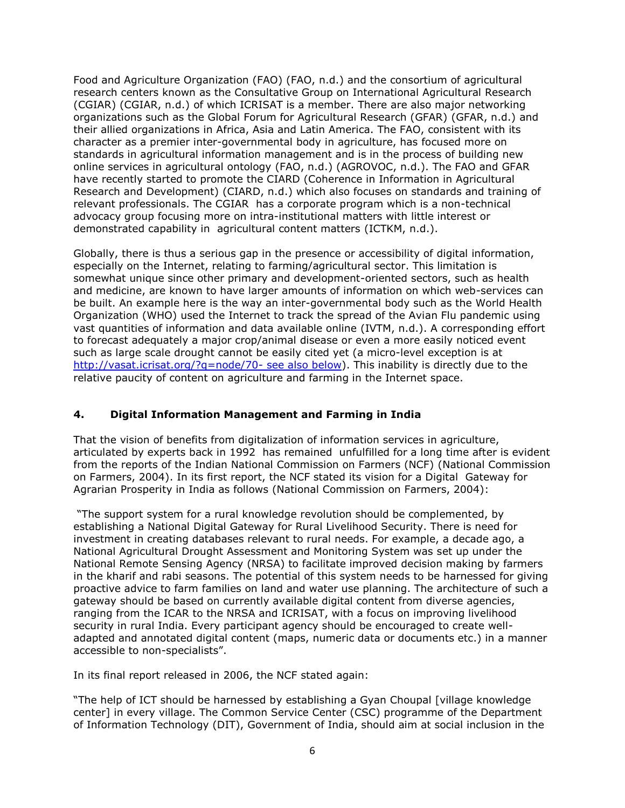Food and Agriculture Organization (FAO) (FAO, n.d.) and the consortium of agricultural research centers known as the Consultative Group on International Agricultural Research (CGIAR) (CGIAR, n.d.) of which ICRISAT is a member. There are also major networking organizations such as the Global Forum for Agricultural Research (GFAR) (GFAR, n.d.) and their allied organizations in Africa, Asia and Latin America. The FAO, consistent with its character as a premier inter-governmental body in agriculture, has focused more on standards in agricultural information management and is in the process of building new online services in agricultural ontology (FAO, n.d.) (AGROVOC, n.d.). The FAO and GFAR have recently started to promote the CIARD (Coherence in Information in Agricultural Research and Development) (CIARD, n.d.) which also focuses on standards and training of relevant professionals. The CGIAR has a corporate program which is a non-technical advocacy group focusing more on intra-institutional matters with little interest or demonstrated capability in agricultural content matters (ICTKM, n.d.).

Globally, there is thus a serious gap in the presence or accessibility of digital information, especially on the Internet, relating to farming/agricultural sector. This limitation is somewhat unique since other primary and development-oriented sectors, such as health and medicine, are known to have larger amounts of information on which web-services can be built. An example here is the way an inter-governmental body such as the World Health Organization (WHO) used the Internet to track the spread of the Avian Flu pandemic using vast quantities of information and data available online (IVTM, n.d.). A corresponding effort to forecast adequately a major crop/animal disease or even a more easily noticed event such as large scale drought cannot be easily cited yet (a micro-level exception is at http://vasat.icrisat.org/?g=node/70- see also below). This inability is directly due to the relative paucity of content on agriculture and farming in the Internet space.

## **4. Digital Information Management and Farming in India**

That the vision of benefits from digitalization of information services in agriculture, articulated by experts back in 1992 has remained unfulfilled for a long time after is evident from the reports of the Indian National Commission on Farmers (NCF) (National Commission on Farmers, 2004). In its first report, the NCF stated its vision for a Digital Gateway for Agrarian Prosperity in India as follows (National Commission on Farmers, 2004):

"The support system for a rural knowledge revolution should be complemented, by establishing a National Digital Gateway for Rural Livelihood Security. There is need for investment in creating databases relevant to rural needs. For example, a decade ago, a National Agricultural Drought Assessment and Monitoring System was set up under the National Remote Sensing Agency (NRSA) to facilitate improved decision making by farmers in the kharif and rabi seasons. The potential of this system needs to be harnessed for giving proactive advice to farm families on land and water use planning. The architecture of such a gateway should be based on currently available digital content from diverse agencies, ranging from the ICAR to the NRSA and ICRISAT, with a focus on improving livelihood security in rural India. Every participant agency should be encouraged to create welladapted and annotated digital content (maps, numeric data or documents etc.) in a manner accessible to non-specialists".

In its final report released in 2006, the NCF stated again:

"The help of ICT should be harnessed by establishing a Gyan Choupal [village knowledge center] in every village. The Common Service Center (CSC) programme of the Department of Information Technology (DIT), Government of India, should aim at social inclusion in the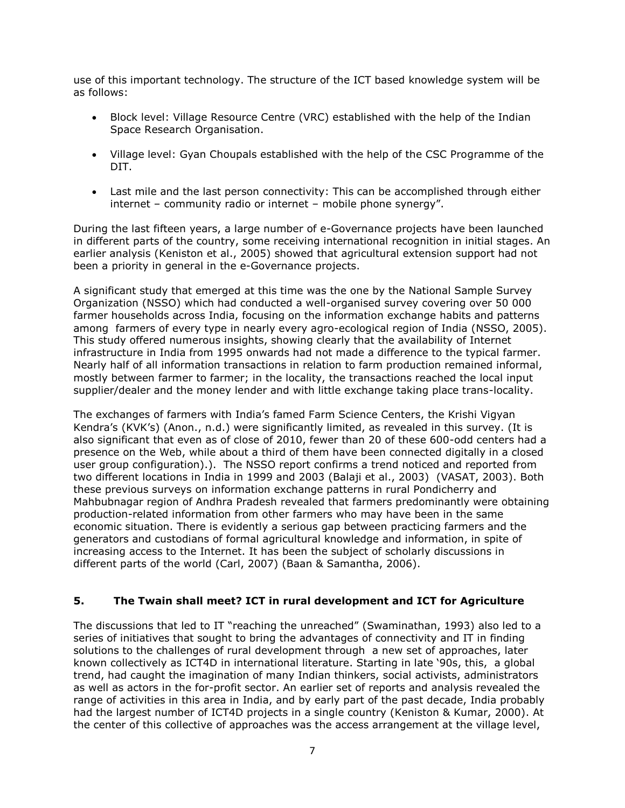use of this important technology. The structure of the ICT based knowledge system will be as follows:

- Block level: Village Resource Centre (VRC) established with the help of the Indian Space Research Organisation.
- Village level: Gyan Choupals established with the help of the CSC Programme of the DIT.
- Last mile and the last person connectivity: This can be accomplished through either internet – community radio or internet – mobile phone synergy".

During the last fifteen years, a large number of e-Governance projects have been launched in different parts of the country, some receiving international recognition in initial stages. An earlier analysis (Keniston et al., 2005) showed that agricultural extension support had not been a priority in general in the e-Governance projects.

A significant study that emerged at this time was the one by the National Sample Survey Organization (NSSO) which had conducted a well-organised survey covering over 50 000 farmer households across India, focusing on the information exchange habits and patterns among farmers of every type in nearly every agro-ecological region of India (NSSO, 2005). This study offered numerous insights, showing clearly that the availability of Internet infrastructure in India from 1995 onwards had not made a difference to the typical farmer. Nearly half of all information transactions in relation to farm production remained informal, mostly between farmer to farmer; in the locality, the transactions reached the local input supplier/dealer and the money lender and with little exchange taking place trans-locality.

The exchanges of farmers with India's famed Farm Science Centers, the Krishi Vigyan Kendra's (KVK's) (Anon., n.d.) were significantly limited, as revealed in this survey. (It is also significant that even as of close of 2010, fewer than 20 of these 600-odd centers had a presence on the Web, while about a third of them have been connected digitally in a closed user group configuration).). The NSSO report confirms a trend noticed and reported from two different locations in India in 1999 and 2003 (Balaji et al., 2003) (VASAT, 2003). Both these previous surveys on information exchange patterns in rural Pondicherry and Mahbubnagar region of Andhra Pradesh revealed that farmers predominantly were obtaining production-related information from other farmers who may have been in the same economic situation. There is evidently a serious gap between practicing farmers and the generators and custodians of formal agricultural knowledge and information, in spite of increasing access to the Internet. It has been the subject of scholarly discussions in different parts of the world (Carl, 2007) (Baan & Samantha, 2006).

## **5. The Twain shall meet? ICT in rural development and ICT for Agriculture**

The discussions that led to IT "reaching the unreached" (Swaminathan, 1993) also led to a series of initiatives that sought to bring the advantages of connectivity and IT in finding solutions to the challenges of rural development through a new set of approaches, later known collectively as ICT4D in international literature. Starting in late '90s, this, a global trend, had caught the imagination of many Indian thinkers, social activists, administrators as well as actors in the for-profit sector. An earlier set of reports and analysis revealed the range of activities in this area in India, and by early part of the past decade, India probably had the largest number of ICT4D projects in a single country (Keniston & Kumar, 2000). At the center of this collective of approaches was the access arrangement at the village level,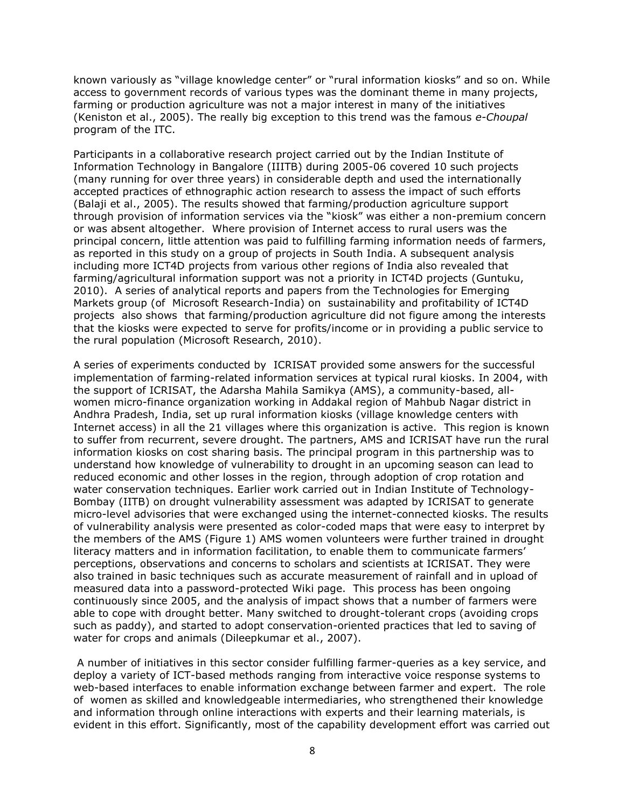known variously as "village knowledge center" or "rural information kiosks" and so on. While access to government records of various types was the dominant theme in many projects, farming or production agriculture was not a major interest in many of the initiatives (Keniston et al., 2005). The really big exception to this trend was the famous *e-Choupal* program of the ITC.

Participants in a collaborative research project carried out by the Indian Institute of Information Technology in Bangalore (IIITB) during 2005-06 covered 10 such projects (many running for over three years) in considerable depth and used the internationally accepted practices of ethnographic action research to assess the impact of such efforts (Balaji et al., 2005). The results showed that farming/production agriculture support through provision of information services via the "kiosk" was either a non-premium concern or was absent altogether. Where provision of Internet access to rural users was the principal concern, little attention was paid to fulfilling farming information needs of farmers, as reported in this study on a group of projects in South India. A subsequent analysis including more ICT4D projects from various other regions of India also revealed that farming/agricultural information support was not a priority in ICT4D projects (Guntuku, 2010). A series of analytical reports and papers from the Technologies for Emerging Markets group (of Microsoft Research-India) on sustainability and profitability of ICT4D projects also shows that farming/production agriculture did not figure among the interests that the kiosks were expected to serve for profits/income or in providing a public service to the rural population (Microsoft Research, 2010).

A series of experiments conducted by ICRISAT provided some answers for the successful implementation of farming-related information services at typical rural kiosks. In 2004, with the support of ICRISAT, the Adarsha Mahila Samikya (AMS), a community-based, allwomen micro-finance organization working in Addakal region of Mahbub Nagar district in Andhra Pradesh, India, set up rural information kiosks (village knowledge centers with Internet access) in all the 21 villages where this organization is active. This region is known to suffer from recurrent, severe drought. The partners, AMS and ICRISAT have run the rural information kiosks on cost sharing basis. The principal program in this partnership was to understand how knowledge of vulnerability to drought in an upcoming season can lead to reduced economic and other losses in the region, through adoption of crop rotation and water conservation techniques. Earlier work carried out in Indian Institute of Technology-Bombay (IITB) on drought vulnerability assessment was adapted by ICRISAT to generate micro-level advisories that were exchanged using the internet-connected kiosks. The results of vulnerability analysis were presented as color-coded maps that were easy to interpret by the members of the AMS (Figure 1) AMS women volunteers were further trained in drought literacy matters and in information facilitation, to enable them to communicate farmers' perceptions, observations and concerns to scholars and scientists at ICRISAT. They were also trained in basic techniques such as accurate measurement of rainfall and in upload of measured data into a password-protected Wiki page. This process has been ongoing continuously since 2005, and the analysis of impact shows that a number of farmers were able to cope with drought better. Many switched to drought-tolerant crops (avoiding crops such as paddy), and started to adopt conservation-oriented practices that led to saving of water for crops and animals (Dileepkumar et al., 2007).

A number of initiatives in this sector consider fulfilling farmer-queries as a key service, and deploy a variety of ICT-based methods ranging from interactive voice response systems to web-based interfaces to enable information exchange between farmer and expert. The role of women as skilled and knowledgeable intermediaries, who strengthened their knowledge and information through online interactions with experts and their learning materials, is evident in this effort. Significantly, most of the capability development effort was carried out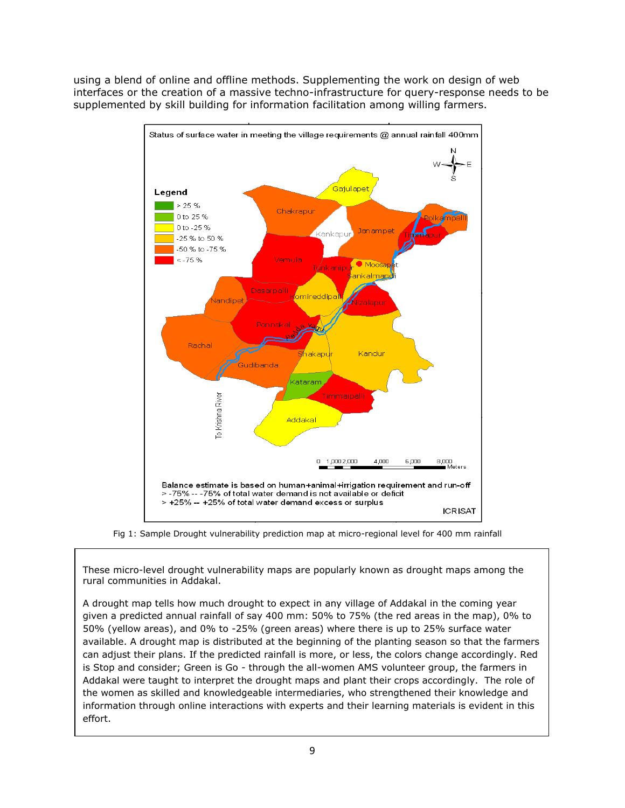using a blend of online and offline methods. Supplementing the work on design of web interfaces or the creation of a massive techno-infrastructure for query-response needs to be supplemented by skill building for information facilitation among willing farmers.



Fig 1: Sample Drought vulnerability prediction map at micro-regional level for 400 mm rainfall

These micro-level drought vulnerability maps are popularly known as drought maps among the rural communities in Addakal.

A drought map tells how much drought to expect in any village of Addakal in the coming year given a predicted annual rainfall of say 400 mm: 50% to 75% (the red areas in the map), 0% to 50% (yellow areas), and 0% to -25% (green areas) where there is up to 25% surface water available. A drought map is distributed at the beginning of the planting season so that the farmers can adjust their plans. If the predicted rainfall is more, or less, the colors change accordingly. Red is Stop and consider; Green is Go - through the all-women AMS volunteer group, the farmers in Addakal were taught to interpret the drought maps and plant their crops accordingly. The role of the women as skilled and knowledgeable intermediaries, who strengthened their knowledge and information through online interactions with experts and their learning materials is evident in this effort.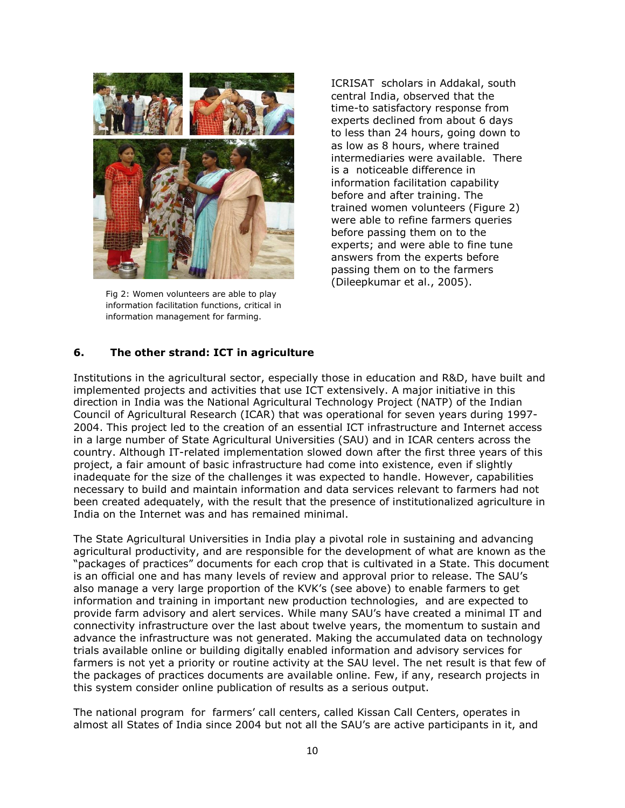

Fig 2: Women volunteers are able to play information facilitation functions, critical in information management for farming.

ICRISAT scholars in Addakal, south central India, observed that the time-to satisfactory response from experts declined from about 6 days to less than 24 hours, going down to as low as 8 hours, where trained intermediaries were available. There is a noticeable difference in information facilitation capability before and after training. The trained women volunteers (Figure 2) were able to refine farmers queries before passing them on to the experts; and were able to fine tune answers from the experts before passing them on to the farmers (Dileepkumar et al., 2005).

## **6. The other strand: ICT in agriculture**

Institutions in the agricultural sector, especially those in education and R&D, have built and implemented projects and activities that use ICT extensively. A major initiative in this direction in India was the National Agricultural Technology Project (NATP) of the Indian Council of Agricultural Research (ICAR) that was operational for seven years during 1997- 2004. This project led to the creation of an essential ICT infrastructure and Internet access in a large number of State Agricultural Universities (SAU) and in ICAR centers across the country. Although IT-related implementation slowed down after the first three years of this project, a fair amount of basic infrastructure had come into existence, even if slightly inadequate for the size of the challenges it was expected to handle. However, capabilities necessary to build and maintain information and data services relevant to farmers had not been created adequately, with the result that the presence of institutionalized agriculture in India on the Internet was and has remained minimal.

The State Agricultural Universities in India play a pivotal role in sustaining and advancing agricultural productivity, and are responsible for the development of what are known as the "packages of practices" documents for each crop that is cultivated in a State. This document is an official one and has many levels of review and approval prior to release. The SAU's also manage a very large proportion of the KVK's (see above) to enable farmers to get information and training in important new production technologies, and are expected to provide farm advisory and alert services. While many SAU's have created a minimal IT and connectivity infrastructure over the last about twelve years, the momentum to sustain and advance the infrastructure was not generated. Making the accumulated data on technology trials available online or building digitally enabled information and advisory services for farmers is not yet a priority or routine activity at the SAU level. The net result is that few of the packages of practices documents are available online. Few, if any, research projects in this system consider online publication of results as a serious output.

The national program for farmers' call centers, called Kissan Call Centers, operates in almost all States of India since 2004 but not all the SAU's are active participants in it, and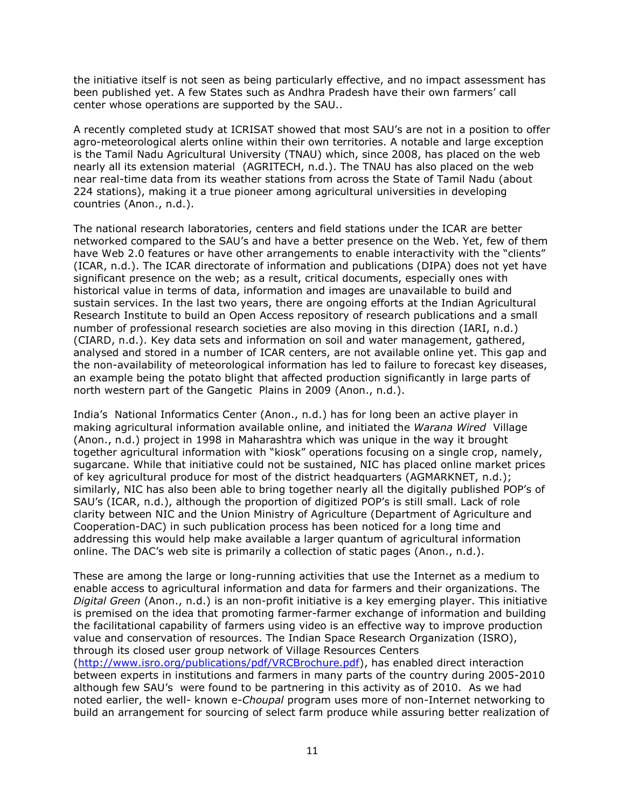the initiative itself is not seen as being particularly effective, and no impact assessment has been published yet. A few States such as Andhra Pradesh have their own farmers' call center whose operations are supported by the SAU..

A recently completed study at ICRISAT showed that most SAU's are not in a position to offer agro-meteorological alerts online within their own territories. A notable and large exception is the Tamil Nadu Agricultural University (TNAU) which, since 2008, has placed on the web nearly all its extension material (AGRITECH, n.d.). The TNAU has also placed on the web near real-time data from its weather stations from across the State of Tamil Nadu (about 224 stations), making it a true pioneer among agricultural universities in developing countries (Anon., n.d.).

The national research laboratories, centers and field stations under the ICAR are better networked compared to the SAU's and have a better presence on the Web. Yet, few of them have Web 2.0 features or have other arrangements to enable interactivity with the "clients" (ICAR, n.d.). The ICAR directorate of information and publications (DIPA) does not yet have significant presence on the web; as a result, critical documents, especially ones with historical value in terms of data, information and images are unavailable to build and sustain services. In the last two years, there are ongoing efforts at the Indian Agricultural Research Institute to build an Open Access repository of research publications and a small number of professional research societies are also moving in this direction (IARI, n.d.) (CIARD, n.d.). Key data sets and information on soil and water management, gathered, analysed and stored in a number of ICAR centers, are not available online yet. This gap and the non-availability of meteorological information has led to failure to forecast key diseases, an example being the potato blight that affected production significantly in large parts of north western part of the Gangetic Plains in 2009 (Anon., n.d.).

India's National Informatics Center (Anon., n.d.) has for long been an active player in making agricultural information available online, and initiated the *Warana Wired* Village (Anon., n.d.) project in 1998 in Maharashtra which was unique in the way it brought together agricultural information with "kiosk" operations focusing on a single crop, namely, sugarcane. While that initiative could not be sustained, NIC has placed online market prices of key agricultural produce for most of the district headquarters (AGMARKNET, n.d.); similarly, NIC has also been able to bring together nearly all the digitally published POP's of SAU's (ICAR, n.d.), although the proportion of digitized POP's is still small. Lack of role clarity between NIC and the Union Ministry of Agriculture (Department of Agriculture and Cooperation-DAC) in such publication process has been noticed for a long time and addressing this would help make available a larger quantum of agricultural information online. The DAC's web site is primarily a collection of static pages (Anon., n.d.).

These are among the large or long-running activities that use the Internet as a medium to enable access to agricultural information and data for farmers and their organizations. The *Digital Green* (Anon., n.d.) is an non-profit initiative is a key emerging player. This initiative is premised on the idea that promoting farmer-farmer exchange of information and building the facilitational capability of farmers using video is an effective way to improve production value and conservation of resources. The Indian Space Research Organization (ISRO), through its closed user group network of Village Resources Centers

[\(http://www.isro.org/publications/pdf/VRCBrochure.pdf\)](http://www.isro.org/publications/pdf/VRCBrochure.pdf), has enabled direct interaction between experts in institutions and farmers in many parts of the country during 2005-2010 although few SAU's were found to be partnering in this activity as of 2010. As we had noted earlier, the well- known e-*Choupal* program uses more of non-Internet networking to build an arrangement for sourcing of select farm produce while assuring better realization of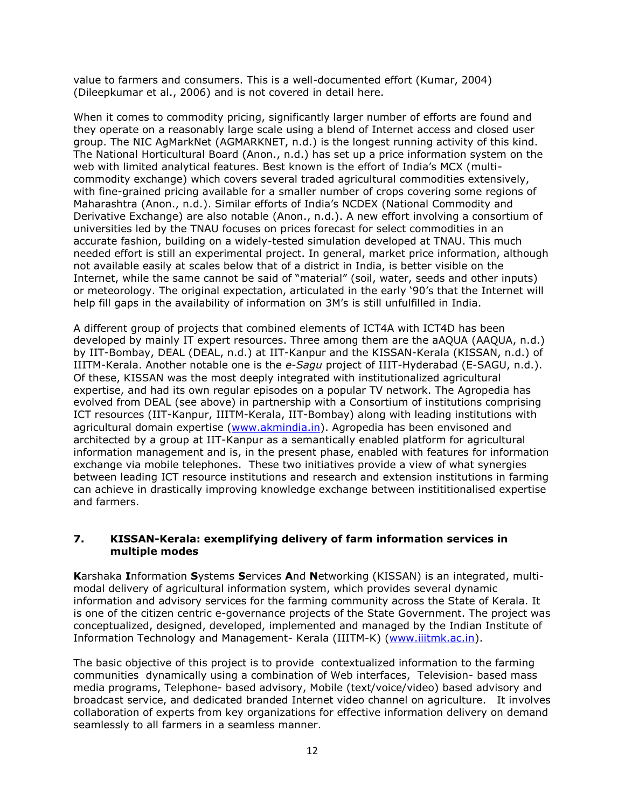value to farmers and consumers. This is a well-documented effort (Kumar, 2004) (Dileepkumar et al., 2006) and is not covered in detail here.

When it comes to commodity pricing, significantly larger number of efforts are found and they operate on a reasonably large scale using a blend of Internet access and closed user group. The NIC AgMarkNet (AGMARKNET, n.d.) is the longest running activity of this kind. The National Horticultural Board (Anon., n.d.) has set up a price information system on the web with limited analytical features. Best known is the effort of India's MCX (multicommodity exchange) which covers several traded agricultural commodities extensively, with fine-grained pricing available for a smaller number of crops covering some regions of Maharashtra (Anon., n.d.). Similar efforts of India's NCDEX (National Commodity and Derivative Exchange) are also notable (Anon., n.d.). A new effort involving a consortium of universities led by the TNAU focuses on prices forecast for select commodities in an accurate fashion, building on a widely-tested simulation developed at TNAU. This much needed effort is still an experimental project. In general, market price information, although not available easily at scales below that of a district in India, is better visible on the Internet, while the same cannot be said of "material" (soil, water, seeds and other inputs) or meteorology. The original expectation, articulated in the early '90's that the Internet will help fill gaps in the availability of information on 3M's is still unfulfilled in India.

A different group of projects that combined elements of ICT4A with ICT4D has been developed by mainly IT expert resources. Three among them are the aAQUA (AAQUA, n.d.) by IIT-Bombay, DEAL (DEAL, n.d.) at IIT-Kanpur and the KISSAN-Kerala (KISSAN, n.d.) of IIITM-Kerala. Another notable one is the *e-Sagu* project of IIIT-Hyderabad (E-SAGU, n.d.). Of these, KISSAN was the most deeply integrated with institutionalized agricultural expertise, and had its own regular episodes on a popular TV network. The Agropedia has evolved from DEAL (see above) in partnership with a Consortium of institutions comprising ICT resources (IIT-Kanpur, IIITM-Kerala, IIT-Bombay) along with leading institutions with agricultural domain expertise [\(www.akmindia.in\)](http://www.akmindia.in/). Agropedia has been envisoned and architected by a group at IIT-Kanpur as a semantically enabled platform for agricultural information management and is, in the present phase, enabled with features for information exchange via mobile telephones. These two initiatives provide a view of what synergies between leading ICT resource institutions and research and extension institutions in farming can achieve in drastically improving knowledge exchange between instititionalised expertise and farmers.

#### **7. KISSAN-Kerala: exemplifying delivery of farm information services in multiple modes**

**K**arshaka **I**nformation **S**ystems **S**ervices **A**nd **N**etworking (KISSAN) is an integrated, multimodal delivery of agricultural information system, which provides several dynamic information and advisory services for the farming community across the State of Kerala. It is one of the citizen centric e-governance projects of the State Government. The project was conceptualized, designed, developed, implemented and managed by the Indian Institute of Information Technology and Management- Kerala (IIITM-K) [\(www.iiitmk.ac.in\)](http://www.iiitmk.ac.in/).

The basic objective of this project is to provide contextualized information to the farming communities dynamically using a combination of Web interfaces, Television- based mass media programs, Telephone- based advisory, Mobile (text/voice/video) based advisory and broadcast service, and dedicated branded Internet video channel on agriculture. It involves collaboration of experts from key organizations for effective information delivery on demand seamlessly to all farmers in a seamless manner.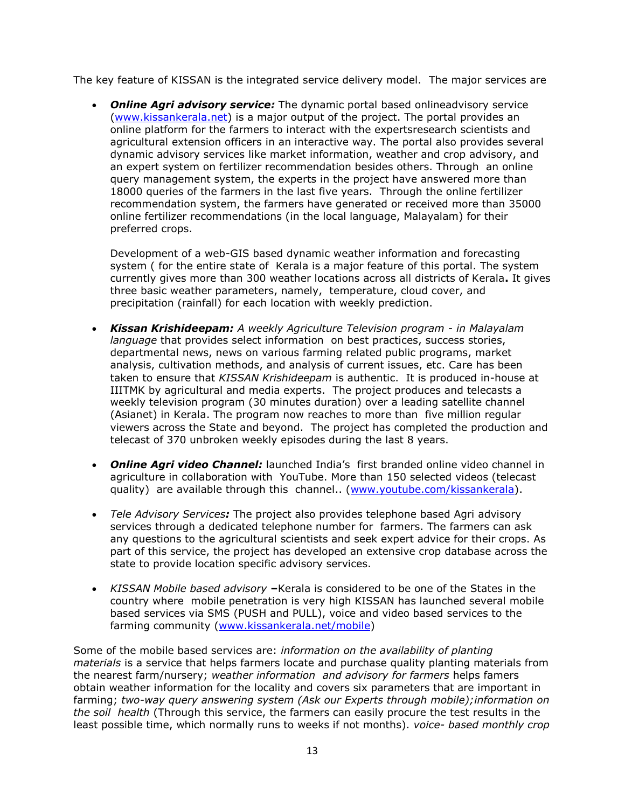The key feature of KISSAN is the integrated service delivery model. The major services are

**Online Agri advisory service:** The dynamic portal based onlineadvisory service [\(www.kissankerala.net\)](http://www.kissankerala.net/) is a major output of the project. The portal provides an online platform for the farmers to interact with the expertsresearch scientists and agricultural extension officers in an interactive way. The portal also provides several dynamic advisory services like market information, weather and crop advisory, and an expert system on fertilizer recommendation besides others. Through an online query management system, the experts in the project have answered more than 18000 queries of the farmers in the last five years. Through the online fertilizer recommendation system, the farmers have generated or received more than 35000 online fertilizer recommendations (in the local language, Malayalam) for their preferred crops.

Development of a web-GIS based dynamic weather information and forecasting system ( for the entire state of Kerala is a major feature of this portal. The system currently gives more than 300 weather locations across all districts of Kerala**.** It gives three basic weather parameters, namely, temperature, cloud cover, and precipitation (rainfall) for each location with weekly prediction.

- *Kissan Krishideepam: A weekly Agriculture Television program - in Malayalam language* that provides select information on best practices, success stories, departmental news, news on various farming related public programs, market analysis, cultivation methods, and analysis of current issues, etc. Care has been taken to ensure that *KISSAN Krishideepam* is authentic. It is produced in-house at IIITMK by agricultural and media experts. The project produces and telecasts a weekly television program (30 minutes duration) over a leading satellite channel (Asianet) in Kerala. The program now reaches to more than five million regular viewers across the State and beyond. The project has completed the production and telecast of 370 unbroken weekly episodes during the last 8 years.
- *Online Agri video Channel:* launched India's first branded online video channel in agriculture in collaboration with YouTube. More than 150 selected videos (telecast quality) are available through this channel.. [\(www.youtube.com/kissankerala\)](http://www.youtube.com/kissankerala).
- *Tele Advisory Services:* The project also provides telephone based Agri advisory services through a dedicated telephone number for farmers. The farmers can ask any questions to the agricultural scientists and seek expert advice for their crops. As part of this service, the project has developed an extensive crop database across the state to provide location specific advisory services.
- *KISSAN Mobile based advisory* **–**Kerala is considered to be one of the States in the country where mobile penetration is very high KISSAN has launched several mobile based services via SMS (PUSH and PULL), voice and video based services to the farming community [\(www.kissankerala.net/mobile\)](http://www.kissankerala.net/mobile)

Some of the mobile based services are: *information on the availability of planting materials* is a service that helps farmers locate and purchase quality planting materials from the nearest farm/nursery; *weather information and advisory for farmers* helps famers obtain weather information for the locality and covers six parameters that are important in farming; *two-way query answering system (Ask our Experts through mobile);information on the soil health* (Through this service, the farmers can easily procure the test results in the least possible time, which normally runs to weeks if not months). *voice- based monthly crop*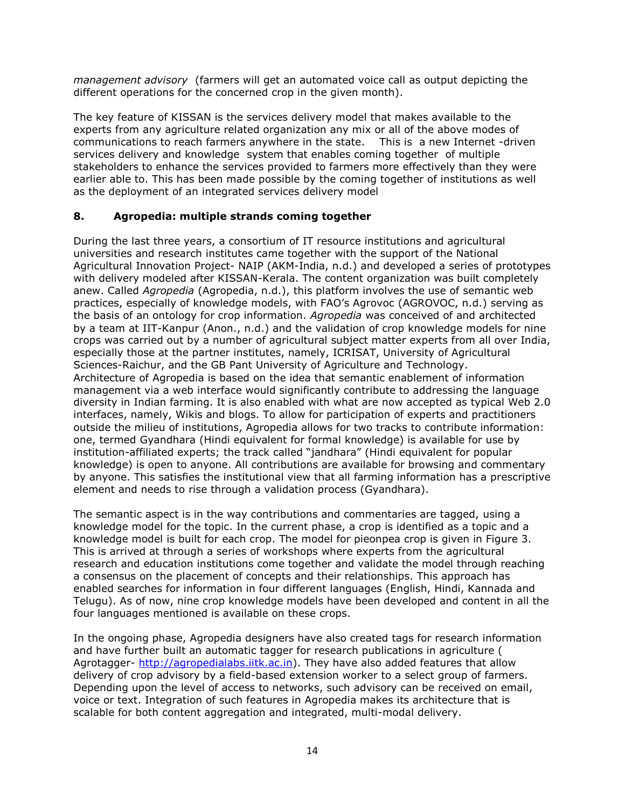*management advisory* (farmers will get an automated voice call as output depicting the different operations for the concerned crop in the given month).

The key feature of KISSAN is the services delivery model that makes available to the experts from any agriculture related organization any mix or all of the above modes of communications to reach farmers anywhere in the state. This is a new Internet -driven services delivery and knowledge system that enables coming together of multiple stakeholders to enhance the services provided to farmers more effectively than they were earlier able to. This has been made possible by the coming together of institutions as well as the deployment of an integrated services delivery model

## **8. Agropedia: multiple strands coming together**

During the last three years, a consortium of IT resource institutions and agricultural universities and research institutes came together with the support of the National Agricultural Innovation Project- NAIP (AKM-India, n.d.) and developed a series of prototypes with delivery modeled after KISSAN-Kerala. The content organization was built completely anew. Called *Agropedia* (Agropedia, n.d.), this platform involves the use of semantic web practices, especially of knowledge models, with FAO's Agrovoc (AGROVOC, n.d.) serving as the basis of an ontology for crop information. *Agropedia* was conceived of and architected by a team at IIT-Kanpur (Anon., n.d.) and the validation of crop knowledge models for nine crops was carried out by a number of agricultural subject matter experts from all over India, especially those at the partner institutes, namely, ICRISAT, University of Agricultural Sciences-Raichur, and the GB Pant University of Agriculture and Technology. Architecture of Agropedia is based on the idea that semantic enablement of information management via a web interface would significantly contribute to addressing the language diversity in Indian farming. It is also enabled with what are now accepted as typical Web 2.0 interfaces, namely, Wikis and blogs. To allow for participation of experts and practitioners outside the milieu of institutions, Agropedia allows for two tracks to contribute information: one, termed Gyandhara (Hindi equivalent for formal knowledge) is available for use by institution-affiliated experts; the track called "jandhara" (Hindi equivalent for popular knowledge) is open to anyone. All contributions are available for browsing and commentary by anyone. This satisfies the institutional view that all farming information has a prescriptive element and needs to rise through a validation process (Gyandhara).

The semantic aspect is in the way contributions and commentaries are tagged, using a knowledge model for the topic. In the current phase, a crop is identified as a topic and a knowledge model is built for each crop. The model for pieonpea crop is given in Figure 3. This is arrived at through a series of workshops where experts from the agricultural research and education institutions come together and validate the model through reaching a consensus on the placement of concepts and their relationships. This approach has enabled searches for information in four different languages (English, Hindi, Kannada and Telugu). As of now, nine crop knowledge models have been developed and content in all the four languages mentioned is available on these crops.

In the ongoing phase, Agropedia designers have also created tags for research information and have further built an automatic tagger for research publications in agriculture ( Agrotagger- [http://agropedialabs.iitk.ac.in\)](http://agropedialabs.iitk.ac.in/). They have also added features that allow delivery of crop advisory by a field-based extension worker to a select group of farmers. Depending upon the level of access to networks, such advisory can be received on email, voice or text. Integration of such features in Agropedia makes its architecture that is scalable for both content aggregation and integrated, multi-modal delivery.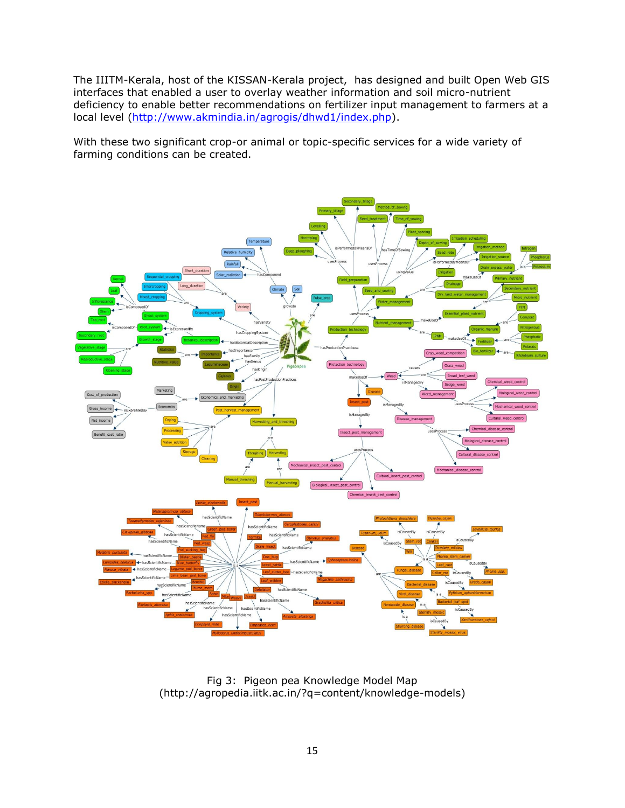The IIITM-Kerala, host of the KISSAN-Kerala project, has designed and built Open Web GIS interfaces that enabled a user to overlay weather information and soil micro-nutrient deficiency to enable better recommendations on fertilizer input management to farmers at a local level [\(http://www.akmindia.in/agrogis/dhwd1/index.php\)](http://www.akmindia.in/agrogis/dhwd1/index.php).

With these two significant crop-or animal or topic-specific services for a wide variety of farming conditions can be created.



Fig 3: Pigeon pea Knowledge Model Map (http://agropedia.iitk.ac.in/?q=content/knowledge-models)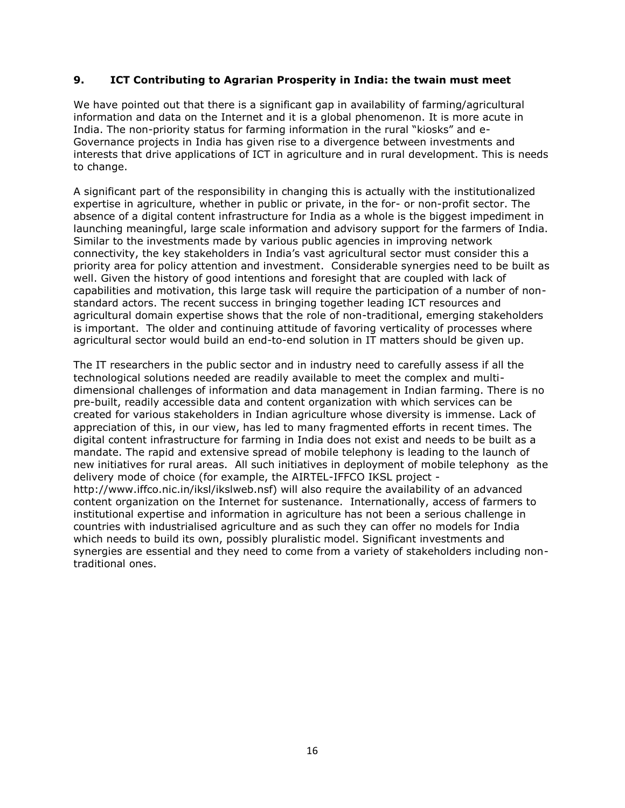#### **9. ICT Contributing to Agrarian Prosperity in India: the twain must meet**

We have pointed out that there is a significant gap in availability of farming/agricultural information and data on the Internet and it is a global phenomenon. It is more acute in India. The non-priority status for farming information in the rural "kiosks" and e-Governance projects in India has given rise to a divergence between investments and interests that drive applications of ICT in agriculture and in rural development. This is needs to change.

A significant part of the responsibility in changing this is actually with the institutionalized expertise in agriculture, whether in public or private, in the for- or non-profit sector. The absence of a digital content infrastructure for India as a whole is the biggest impediment in launching meaningful, large scale information and advisory support for the farmers of India. Similar to the investments made by various public agencies in improving network connectivity, the key stakeholders in India's vast agricultural sector must consider this a priority area for policy attention and investment. Considerable synergies need to be built as well. Given the history of good intentions and foresight that are coupled with lack of capabilities and motivation, this large task will require the participation of a number of nonstandard actors. The recent success in bringing together leading ICT resources and agricultural domain expertise shows that the role of non-traditional, emerging stakeholders is important. The older and continuing attitude of favoring verticality of processes where agricultural sector would build an end-to-end solution in IT matters should be given up.

The IT researchers in the public sector and in industry need to carefully assess if all the technological solutions needed are readily available to meet the complex and multidimensional challenges of information and data management in Indian farming. There is no pre-built, readily accessible data and content organization with which services can be created for various stakeholders in Indian agriculture whose diversity is immense. Lack of appreciation of this, in our view, has led to many fragmented efforts in recent times. The digital content infrastructure for farming in India does not exist and needs to be built as a mandate. The rapid and extensive spread of mobile telephony is leading to the launch of new initiatives for rural areas. All such initiatives in deployment of mobile telephony as the delivery mode of choice (for example, the AIRTEL-IFFCO IKSL project http://www.iffco.nic.in/iksl/ikslweb.nsf) will also require the availability of an advanced content organization on the Internet for sustenance. Internationally, access of farmers to institutional expertise and information in agriculture has not been a serious challenge in countries with industrialised agriculture and as such they can offer no models for India which needs to build its own, possibly pluralistic model. Significant investments and synergies are essential and they need to come from a variety of stakeholders including nontraditional ones.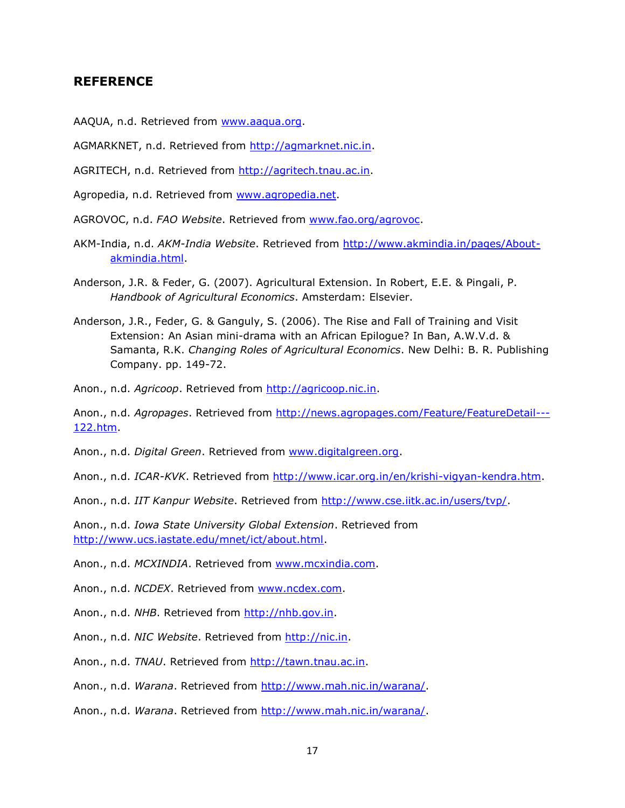## **REFERENCE**

- AAQUA, n.d. Retrieved from [www.aaqua.org.](file:///C:/Users/dileep/Desktop/www.aaqua.org)
- AGMARKNET, n.d. Retrieved from [http://agmarknet.nic.in.](http://agmarknet.nic.in/)
- AGRITECH, n.d. Retrieved from [http://agritech.tnau.ac.in.](http://agritech.tnau.ac.in/)
- Agropedia, n.d. Retrieved from [www.agropedia.net.](file:///C:/Users/dileep/Desktop/www.agropedia.net)
- AGROVOC, n.d. *FAO Website*. Retrieved from [www.fao.org/agrovoc.](file:///C:/Users/dileep/Desktop/www.fao.org/agrovoc)
- AKM-India, n.d. *AKM-India Website*. Retrieved from [http://www.akmindia.in/pages/About](http://www.akmindia.in/pages/About-akmindia.html)[akmindia.html.](http://www.akmindia.in/pages/About-akmindia.html)
- Anderson, J.R. & Feder, G. (2007). Agricultural Extension. In Robert, E.E. & Pingali, P. *Handbook of Agricultural Economics*. Amsterdam: Elsevier.
- Anderson, J.R., Feder, G. & Ganguly, S. (2006). The Rise and Fall of Training and Visit Extension: An Asian mini-drama with an African Epilogue? In Ban, A.W.V.d. & Samanta, R.K. *Changing Roles of Agricultural Economics*. New Delhi: B. R. Publishing Company. pp. 149-72.
- Anon., n.d. *Agricoop*. Retrieved from [http://agricoop.nic.in.](http://agricoop.nic.in/)

Anon., n.d. *Agropages*. Retrieved from [http://news.agropages.com/Feature/FeatureDetail---](http://news.agropages.com/Feature/FeatureDetail---122.htm) [122.htm.](http://news.agropages.com/Feature/FeatureDetail---122.htm)

Anon., n.d. *Digital Green*. Retrieved from [www.digitalgreen.org.](file:///C:/Users/dileep/Desktop/www.digitalgreen.org)

Anon., n.d. *ICAR-KVK*. Retrieved from [http://www.icar.org.in/en/krishi-vigyan-kendra.htm.](http://www.icar.org.in/en/krishi-vigyan-kendra.htm)

Anon., n.d. *IIT Kanpur Website*. Retrieved from [http://www.cse.iitk.ac.in/users/tvp/.](http://www.cse.iitk.ac.in/users/tvp/)

Anon., n.d. *Iowa State University Global Extension*. Retrieved from [http://www.ucs.iastate.edu/mnet/ict/about.html.](http://www.ucs.iastate.edu/mnet/ict/about.html)

Anon., n.d. *MCXINDIA*. Retrieved from [www.mcxindia.com.](file:///C:/Users/dileep/Desktop/www.mcxindia.com)

Anon., n.d. *NCDEX*. Retrieved from [www.ncdex.com.](file:///C:/Users/dileep/Desktop/www.ncdex.com)

Anon., n.d. *NHB*. Retrieved from [http://nhb.gov.in.](http://nhb.gov.in/)

Anon., n.d. *NIC Website*. Retrieved from [http://nic.in.](http://nic.in/)

Anon., n.d. *TNAU*. Retrieved from [http://tawn.tnau.ac.in.](http://tawn.tnau.ac.in/)

Anon., n.d. *Warana*. Retrieved from [http://www.mah.nic.in/warana/.](http://www.mah.nic.in/warana/)

Anon., n.d. *Warana*. Retrieved from [http://www.mah.nic.in/warana/.](http://www.mah.nic.in/warana/)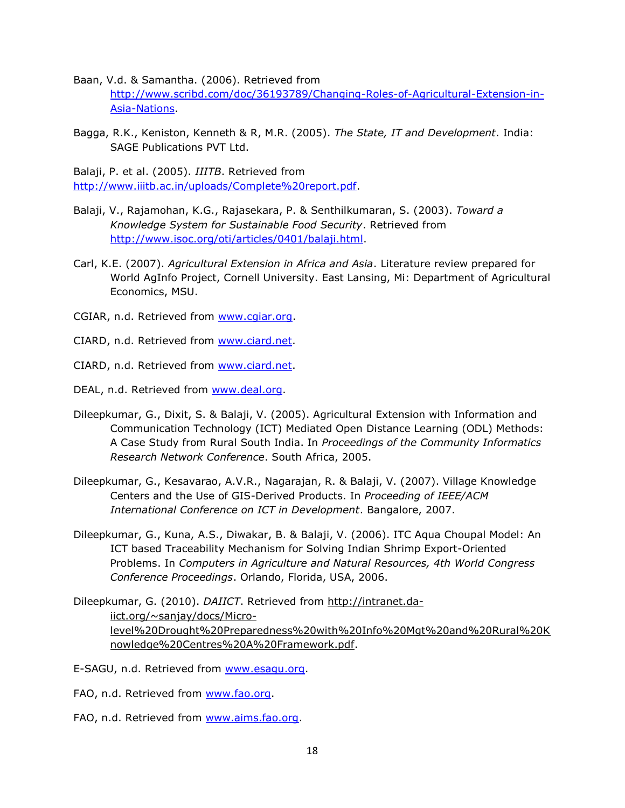Baan, V.d. & Samantha. (2006). Retrieved from [http://www.scribd.com/doc/36193789/Changing-Roles-of-Agricultural-Extension-in-](http://www.scribd.com/doc/36193789/Changing-Roles-of-Agricultural-Extension-in-Asia-Nations)[Asia-Nations.](http://www.scribd.com/doc/36193789/Changing-Roles-of-Agricultural-Extension-in-Asia-Nations)

Bagga, R.K., Keniston, Kenneth & R, M.R. (2005). *The State, IT and Development*. India: SAGE Publications PVT Ltd.

Balaji, P. et al. (2005). *IIITB*. Retrieved from [http://www.iiitb.ac.in/uploads/Complete%20report.pdf.](http://www.iiitb.ac.in/uploads/Complete%20report.pdf)

- Balaji, V., Rajamohan, K.G., Rajasekara, P. & Senthilkumaran, S. (2003). *Toward a Knowledge System for Sustainable Food Security*. Retrieved from [http://www.isoc.org/oti/articles/0401/balaji.html.](http://www.isoc.org/oti/articles/0401/balaji.html)
- Carl, K.E. (2007). *Agricultural Extension in Africa and Asia*. Literature review prepared for World AgInfo Project, Cornell University. East Lansing, Mi: Department of Agricultural Economics, MSU.
- CGIAR, n.d. Retrieved from [www.cgiar.org.](file:///C:/Users/dileep/Desktop/www.cgiar.org)
- CIARD, n.d. Retrieved from [www.ciard.net.](file:///C:/Users/dileep/Desktop/www.ciard.net)

CIARD, n.d. Retrieved from [www.ciard.net.](file:///C:/Users/dileep/Desktop/www.ciard.net)

DEAL, n.d. Retrieved from [www.deal.org.](file:///C:/Users/dileep/Desktop/www.deal.org)

- Dileepkumar, G., Dixit, S. & Balaji, V. (2005). Agricultural Extension with Information and Communication Technology (ICT) Mediated Open Distance Learning (ODL) Methods: A Case Study from Rural South India. In *Proceedings of the Community Informatics Research Network Conference*. South Africa, 2005.
- Dileepkumar, G., Kesavarao, A.V.R., Nagarajan, R. & Balaji, V. (2007). Village Knowledge Centers and the Use of GIS-Derived Products. In *Proceeding of IEEE/ACM International Conference on ICT in Development*. Bangalore, 2007.
- Dileepkumar, G., Kuna, A.S., Diwakar, B. & Balaji, V. (2006). ITC Aqua Choupal Model: An ICT based Traceability Mechanism for Solving Indian Shrimp Export-Oriented Problems. In *Computers in Agriculture and Natural Resources, 4th World Congress Conference Proceedings*. Orlando, Florida, USA, 2006.
- Dileepkumar, G. (2010). *DAIICT*. Retrieved from http://intranet.daiict.org/~sanjay/docs/Microlevel%20Drought%20Preparedness%20with%20Info%20Mgt%20and%20Rural%20K nowledge%20Centres%20A%20Framework.pdf.
- E-SAGU, n.d. Retrieved from [www.esagu.org.](file:///C:/Users/dileep/Desktop/www.esagu.org)
- FAO, n.d. Retrieved from [www.fao.org.](file:///C:/Users/dileep/Desktop/www.fao.org)
- FAO, n.d. Retrieved from [www.aims.fao.org.](file:///C:/Users/dileep/Desktop/www.aims.fao.org)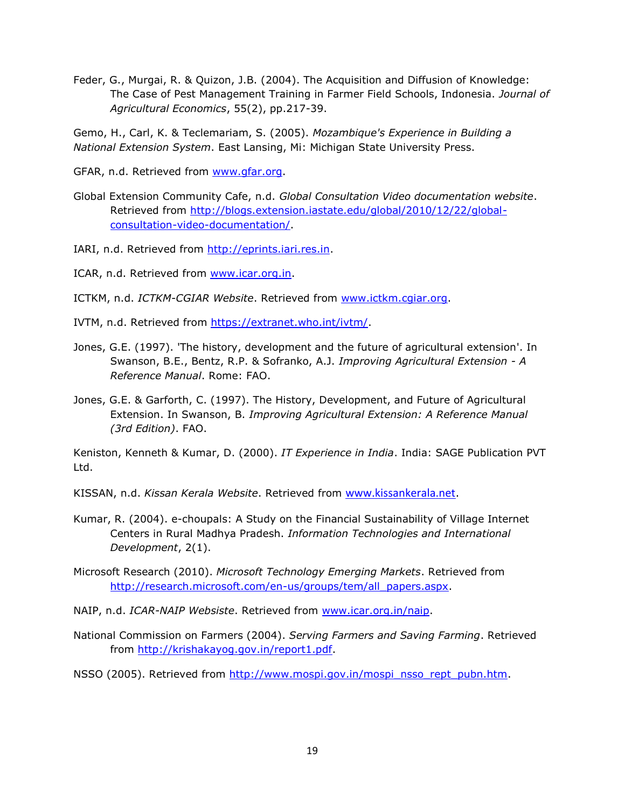Feder, G., Murgai, R. & Quizon, J.B. (2004). The Acquisition and Diffusion of Knowledge: The Case of Pest Management Training in Farmer Field Schools, Indonesia. *Journal of Agricultural Economics*, 55(2), pp.217-39.

Gemo, H., Carl, K. & Teclemariam, S. (2005). *Mozambique's Experience in Building a National Extension System*. East Lansing, Mi: Michigan State University Press.

GFAR, n.d. Retrieved from [www.gfar.org.](file:///C:/Users/dileep/Desktop/www.gfar.org)

Global Extension Community Cafe, n.d. *Global Consultation Video documentation website*. Retrieved from [http://blogs.extension.iastate.edu/global/2010/12/22/global](http://blogs.extension.iastate.edu/global/2010/12/22/global-consultation-video-documentation/)[consultation-video-documentation/.](http://blogs.extension.iastate.edu/global/2010/12/22/global-consultation-video-documentation/)

IARI, n.d. Retrieved from [http://eprints.iari.res.in.](http://eprints.iari.res.in/)

ICAR, n.d. Retrieved from [www.icar.org.in.](file:///C:/Users/dileep/Desktop/www.icar.org.in)

ICTKM, n.d. *ICTKM-CGIAR Website*. Retrieved from [www.ictkm.cgiar.org.](file:///C:/Users/dileep/Desktop/www.ictkm.cgiar.org)

- IVTM, n.d. Retrieved from [https://extranet.who.int/ivtm/.](https://extranet.who.int/ivtm/)
- Jones, G.E. (1997). 'The history, development and the future of agricultural extension'. In Swanson, B.E., Bentz, R.P. & Sofranko, A.J. *Improving Agricultural Extension - A Reference Manual*. Rome: FAO.
- Jones, G.E. & Garforth, C. (1997). The History, Development, and Future of Agricultural Extension. In Swanson, B. *Improving Agricultural Extension: A Reference Manual (3rd Edition)*. FAO.

Keniston, Kenneth & Kumar, D. (2000). *IT Experience in India*. India: SAGE Publication PVT Ltd.

KISSAN, n.d. *Kissan Kerala Website*. Retrieved from [www.kissankerala.net](https://exchange.iastate.edu/owa/redir.aspx?C=2f75a41e2fac40e683d9c4f25124611c&URL=http%3a%2f%2fwww.kissankerala.net).

Kumar, R. (2004). e-choupals: A Study on the Financial Sustainability of Village Internet Centers in Rural Madhya Pradesh. *Information Technologies and International Development*, 2(1).

Microsoft Research (2010). *Microsoft Technology Emerging Markets*. Retrieved from [http://research.microsoft.com/en-us/groups/tem/all\\_papers.aspx.](http://research.microsoft.com/en-us/groups/tem/all_papers.aspx)

- NAIP, n.d. *ICAR-NAIP Websiste*. Retrieved from [www.icar.org.in/naip.](file:///C:/Users/dileep/Desktop/www.icar.org.in/naip)
- National Commission on Farmers (2004). *Serving Farmers and Saving Farming*. Retrieved from [http://krishakayog.gov.in/report1.pdf.](http://krishakayog.gov.in/report1.pdf)

NSSO (2005). Retrieved from [http://www.mospi.gov.in/mospi\\_nsso\\_rept\\_pubn.htm.](http://www.mospi.gov.in/mospi_nsso_rept_pubn.htm)